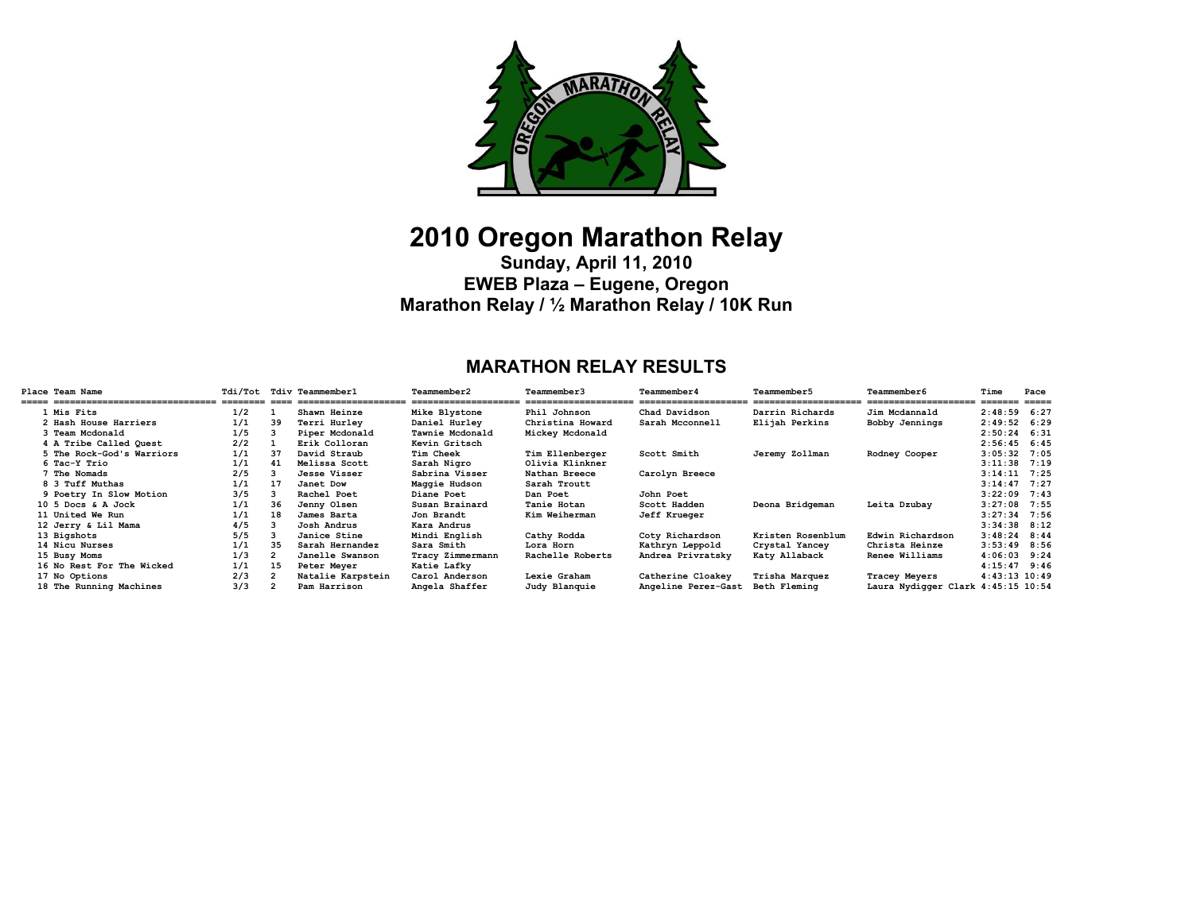

# **2010 Oregon Marathon Relay**

**Sunday, April 11, 2010 EWEB Plaza – Eugene, Oregon Marathon Relay / ½ Marathon Relay / 10K Run** 

# **MARATHON RELAY RESULTS**

| Place Team Name           | Tdi/Tot Tdiv Teammember1 |    |                   | Teammember2      | Teammember3      | Teammember4         | Teammember5       | <b>Teammember6</b>                 | Time                    | Pace  |
|---------------------------|--------------------------|----|-------------------|------------------|------------------|---------------------|-------------------|------------------------------------|-------------------------|-------|
| 1 Mis Fits                | 1/2                      |    | Shawn Heinze      | Mike Blystone    | Phil Johnson     | Chad Davidson       | Darrin Richards   | Jim Mcdannald                      | _____<br>$2:48:59$ 6:27 | ===== |
| 2 Hash House Harriers     | 1/1                      | 39 | Terri Hurlev      | Daniel Hurley    | Christina Howard | Sarah Mcconnell     | Elijah Perkins    | Bobby Jennings                     | $2:49:52$ 6:29          |       |
| 3 Team Mcdonald           | 1/5                      |    | Piper Mcdonald    | Tawnie Mcdonald  | Mickey Mcdonald  |                     |                   |                                    | $2:50:24$ 6:31          |       |
| 4 A Tribe Called Ouest    | 2/2                      |    | Erik Colloran     | Kevin Gritsch    |                  |                     |                   |                                    | $2:56:45$ 6:45          |       |
| 5 The Rock-God's Warriors | 1/1                      | 37 | David Straub      | Tim Cheek        | Tim Ellenberger  | Scott Smith         | Jeremy Zollman    | Rodney Cooper                      | $3:05:32$ 7:05          |       |
| 6 Tac-Y Trio              | 1/1                      | 41 | Melissa Scott     | Sarah Nigro      | Olivia Klinkner  |                     |                   |                                    | $3:11:38$ 7:19          |       |
| <b>7 The Nomads</b>       | 2/5                      |    | Jesse Visser      | Sabrina Visser   | Nathan Breece    | Carolyn Breece      |                   |                                    | $3:14:11$ 7:25          |       |
| 8 3 Tuff Muthas           | 1/1                      | 17 | Janet Dow         | Maggie Hudson    | Sarah Troutt     |                     |                   |                                    | $3:14:47$ 7:27          |       |
| 9 Poetry In Slow Motion   | 3/5                      |    | Rachel Poet       | Diane Poet       | Dan Poet         | John Poet           |                   |                                    | $3:22:09$ 7:43          |       |
| 10 5 Docs & A Jock        | 1/1                      | 36 | Jenny Olsen       | Susan Brainard   | Tanie Hotan      | Scott Hadden        | Deona Bridgeman   | Leita Dzubay                       | $3:27:08$ 7:55          |       |
| 11 United We Run          | 1/1                      | 18 | James Barta       | Jon Brandt       | Kim Weiherman    | <b>Jeff Krueger</b> |                   |                                    | $3:27:34$ 7:56          |       |
| 12 Jerry & Lil Mama       | 4/5                      |    | Josh Andrus       | Kara Andrus      |                  |                     |                   |                                    | $3:34:38$ $8:12$        |       |
| 13 Bigshots               | 5/5                      |    | Janice Stine      | Mindi English    | Cathy Rodda      | Coty Richardson     | Kristen Rosenblum | Edwin Richardson                   | $3:48:24$ 8:44          |       |
| 14 Nicu Nurses            | 1/1                      | 35 | Sarah Hernandez   | Sara Smith       | Lora Horn        | Kathryn Leppold     | Crystal Yancey    | Christa Heinze                     | $3:53:49$ 8:56          |       |
| 15 Busy Moms              | 1/3                      |    | Janelle Swanson   | Tracy Zimmermann | Rachelle Roberts | Andrea Privratsky   | Katy Allaback     | Renee Williams                     | $4:06:03$ 9:24          |       |
| 16 No Rest For The Wicked | 1/1                      | 15 | Peter Meyer       | Katie Lafky      |                  |                     |                   |                                    | $4:15:47$ 9:46          |       |
| 17 No Options             | 2/3                      |    | Natalie Karpstein | Carol Anderson   | Lexie Graham     | Catherine Cloakey   | Trisha Marquez    | Tracey Meyers                      | $4:43:13$ $10:49$       |       |
| 18 The Running Machines   | 3/3                      |    | Pam Harrison      | Angela Shaffer   | Judy Blanquie    | Angeline Perez-Gast | Beth Fleming      | Laura Nydigger Clark 4:45:15 10:54 |                         |       |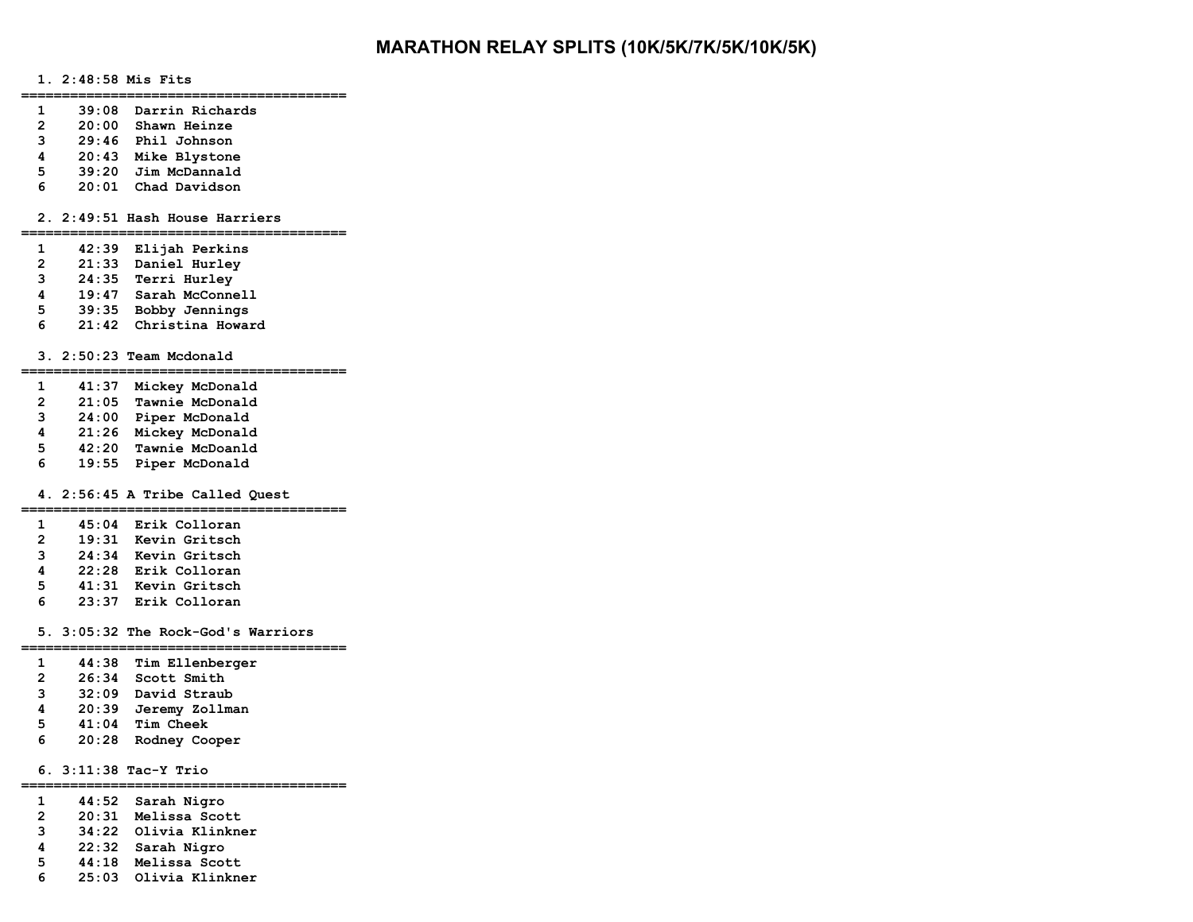# **MARATHON RELAY SPLITS (10K/5K/7K/5K/10K/5K)**

## **1. 2:48:58 Mis Fits**

**========================================** 

- **1 39:08 Darrin Richards**
- **2 20:00 Shawn Heinze**
- **3 29:46 Phil Johnson**
- **4 20:43 Mike Blystone**
- **5 39:20 Jim McDannald**
- **6 20:01 Chad Davidson**

#### **2. 2:49:51 Hash House Harriers**

**========================================** 

- **1 42:39 Elijah Perkins**
- **2 21:33 Daniel Hurley**
- **3 24:35 Terri Hurley**
- **4 19:47 Sarah McConnell**
- **5 39:35 Bobby Jennings**
- **6 21:42 Christina Howard**

### **3. 2:50:23 Team Mcdonald**

**========================================** 

- **1 41:37 Mickey McDonald**
- **2 21:05 Tawnie McDonald**
- **3 24:00 Piper McDonald**
- **4 21:26 Mickey McDonald**
- **5 42:20 Tawnie McDoanld**
- **6 19:55 Piper McDonald**

#### **4. 2:56:45 A Tribe Called Quest**

### **========================================**

- **1 45:04 Erik Colloran 2 19:31 Kevin Gritsch**
- **3 24:34 Kevin Gritsch**
- **4 22:28 Erik Colloran**
- **5 41:31 Kevin Gritsch**
- **6 23:37 Erik Colloran**

#### **5. 3:05:32 The Rock-God's Warriors**

- **========================================**
- **1 44:38 Tim Ellenberger**
- **2 26:34 Scott Smith**
- **3 32:09 David Straub**
- **4 20:39 Jeremy Zollman**
- **5 41:04 Tim Cheek**
- **6 20:28 Rodney Cooper**

# **6. 3:11:38 Tac-Y Trio**

# **========================================**

- **1 44:52 Sarah Nigro**
- **2 20:31 Melissa Scott**
- **3 34:22 Olivia Klinkner**
- **4 22:32 Sarah Nigro**
- **5 44:18 Melissa Scott** 
	- **6 25:03 Olivia Klinkner**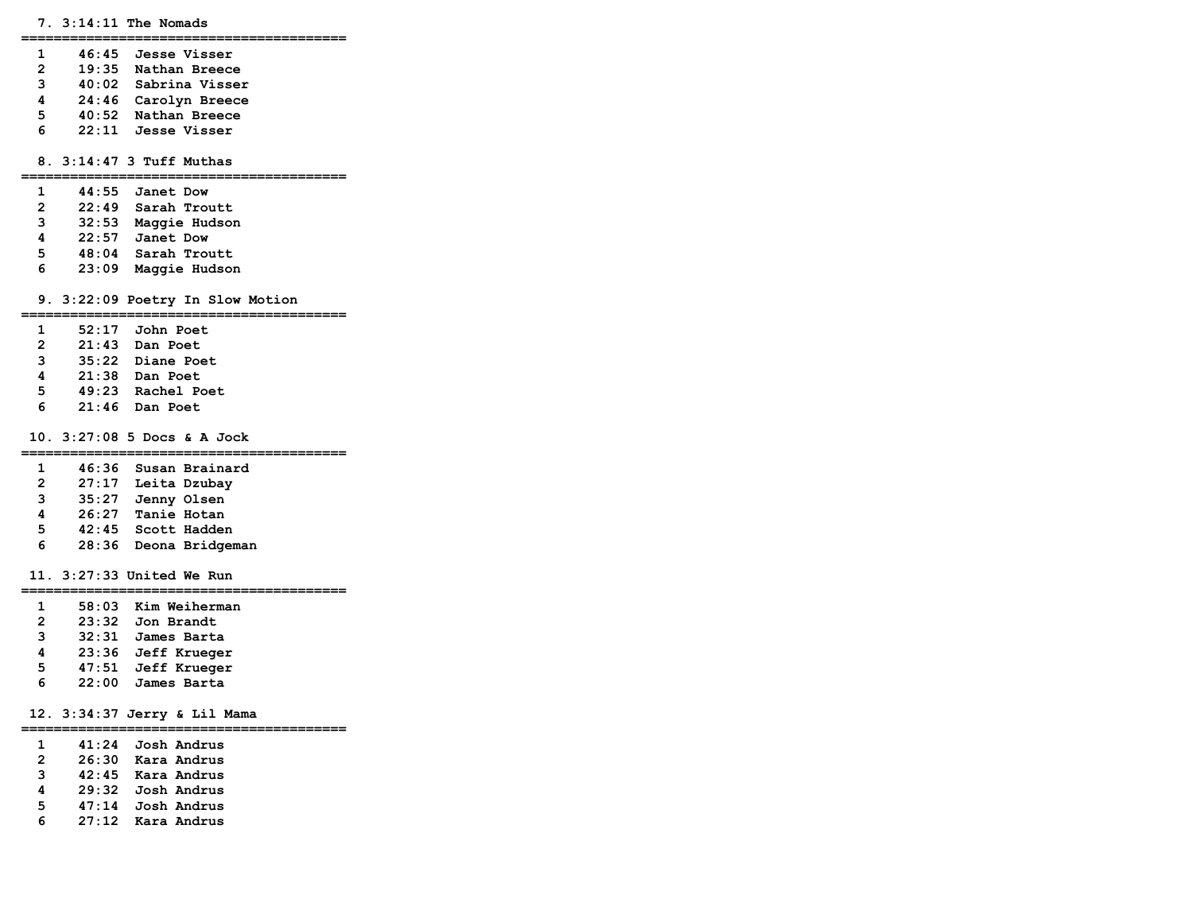**7. 3:14:11 The Nomads** 

**========================================** 

 **1 46:45 Jesse Visser 2 19:35 Nathan Breece 3 40:02 Sabrina Visser 4 24:46 Carolyn Breece 5 40:52 Nathan Breece 6 22:11 Jesse Visser** 

 **8. 3:14:47 3 Tuff Muthas** 

#### **========================================**

- **1 44:55 Janet Dow**
- **2 22:49 Sarah Troutt**
- **3 32:53 Maggie Hudson**
- **4 22:57 Janet Dow**
- **5 48:04 Sarah Troutt**
- **6 23:09 Maggie Hudson**

#### **9. 3:22:09 Poetry In Slow Motion**

#### **========================================**

- **1 52:17 John Poet**
- **2 21:43 Dan Poet**
- **3 35:22 Diane Poet**
- **4 21:38 Dan Poet**
- **5 49:23 Rachel Poet** 
	- **6 21:46 Dan Poet**

#### **10. 3:27:08 5 Docs & A Jock**

#### **========================================**

- **1 46:36 Susan Brainard**
- **2 27:17 Leita Dzubay**
- **3 35:27 Jenny Olsen**
- **4 26:27 Tanie Hotan**
- **5 42:45 Scott Hadden**
- **6 28:36 Deona Bridgeman**

#### **11. 3:27:33 United We Run**

**========================================** 

 **1 58:03 Kim Weiherman 2 23:32 Jon Brandt 3 32:31 James Barta 4 23:36 Jeff Krueger 5 47:51 Jeff Krueger 6 22:00 James Barta** 

### **12. 3:34:37 Jerry & Lil Mama**

#### **========================================**

 **1 41:24 Josh Andrus 2 26:30 Kara Andrus 3 42:45 Kara Andrus 4 29:32 Josh Andrus 5 47:14 Josh Andrus 6 27:12 Kara Andrus**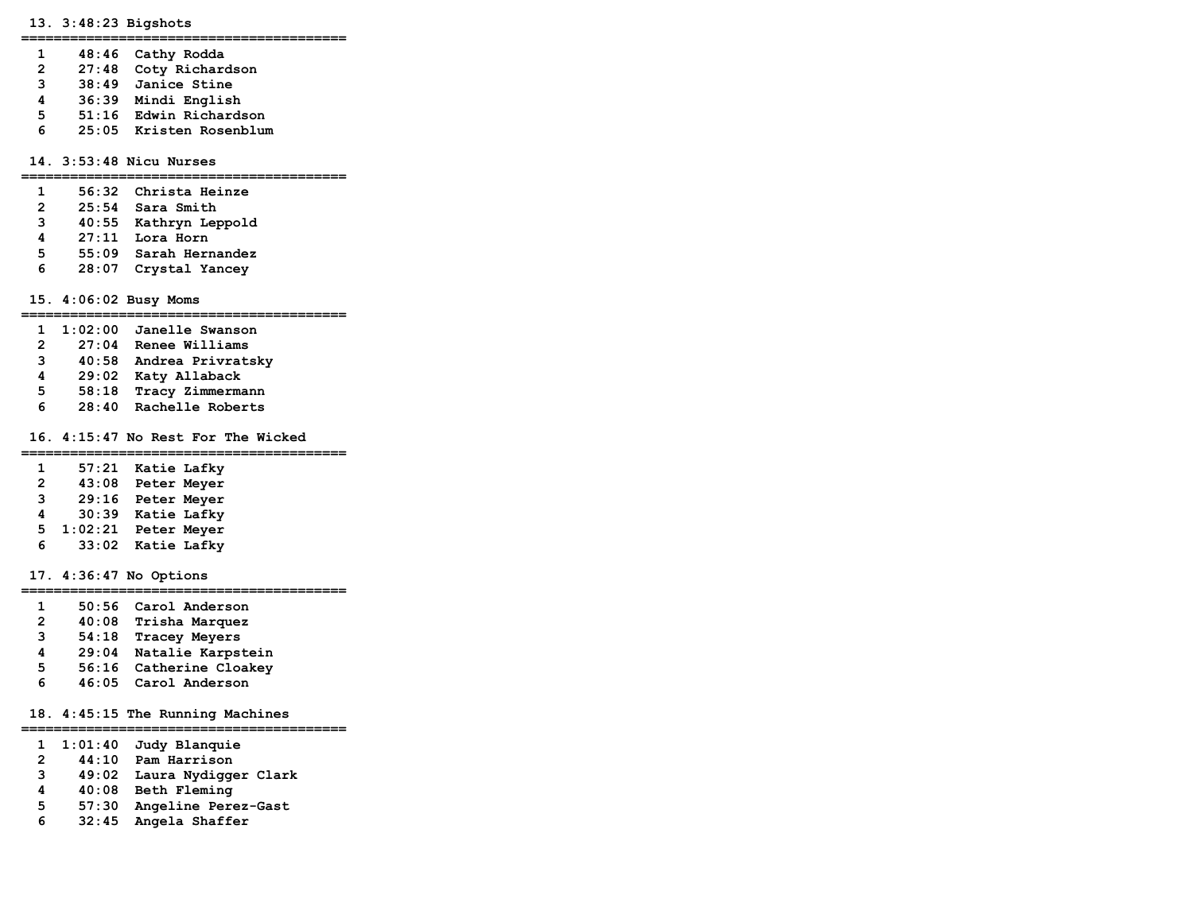#### **13. 3:48:23 Bigshots**

**========================================** 

- **1 48:46 Cathy Rodda**
- **2 27:48 Coty Richardson**
- **3 38:49 Janice Stine**
- **4 36:39 Mindi English**
- **5 51:16 Edwin Richardson**
- **6 25:05 Kristen Rosenblum**

#### **14. 3:53:48 Nicu Nurses**

#### **========================================**

- **1 56:32 Christa Heinze**
- **2 25:54 Sara Smith**
- **3 40:55 Kathryn Leppold**
- **4 27:11 Lora Horn**
- **5 55:09 Sarah Hernandez**
- **6 28:07 Crystal Yancey**

 **15. 4:06:02 Busy Moms** 

### **========================================**

- **1 1:02:00 Janelle Swanson**
- **2 27:04 Renee Williams**
- **3 40:58 Andrea Privratsky**
- **4 29:02 Katy Allaback**
- **5 58:18 Tracy Zimmermann**
- **6 28:40 Rachelle Roberts**

### **16. 4:15:47 No Rest For The Wicked**

#### **========================================**

 **1 57:21 Katie Lafky 2 43:08 Peter Meyer 3 29:16 Peter Meyer 4 30:39 Katie Lafky 5 1:02:21 Peter Meyer 6 33:02 Katie Lafky** 

### **17. 4:36:47 No Options**

#### **========================================**

- **1 50:56 Carol Anderson**
- **2 40:08 Trisha Marquez**
- **3 54:18 Tracey Meyers**
- **4 29:04 Natalie Karpstein**
- **5 56:16 Catherine Cloakey**
- **6 46:05 Carol Anderson**

### **18. 4:45:15 The Running Machines**

#### **========================================**

- **1 1:01:40 Judy Blanquie**
- **2 44:10 Pam Harrison**
- **3 49:02 Laura Nydigger Clark**
- **4 40:08 Beth Fleming**
- **5 57:30 Angeline Perez-Gast**
- **6 32:45 Angela Shaffer**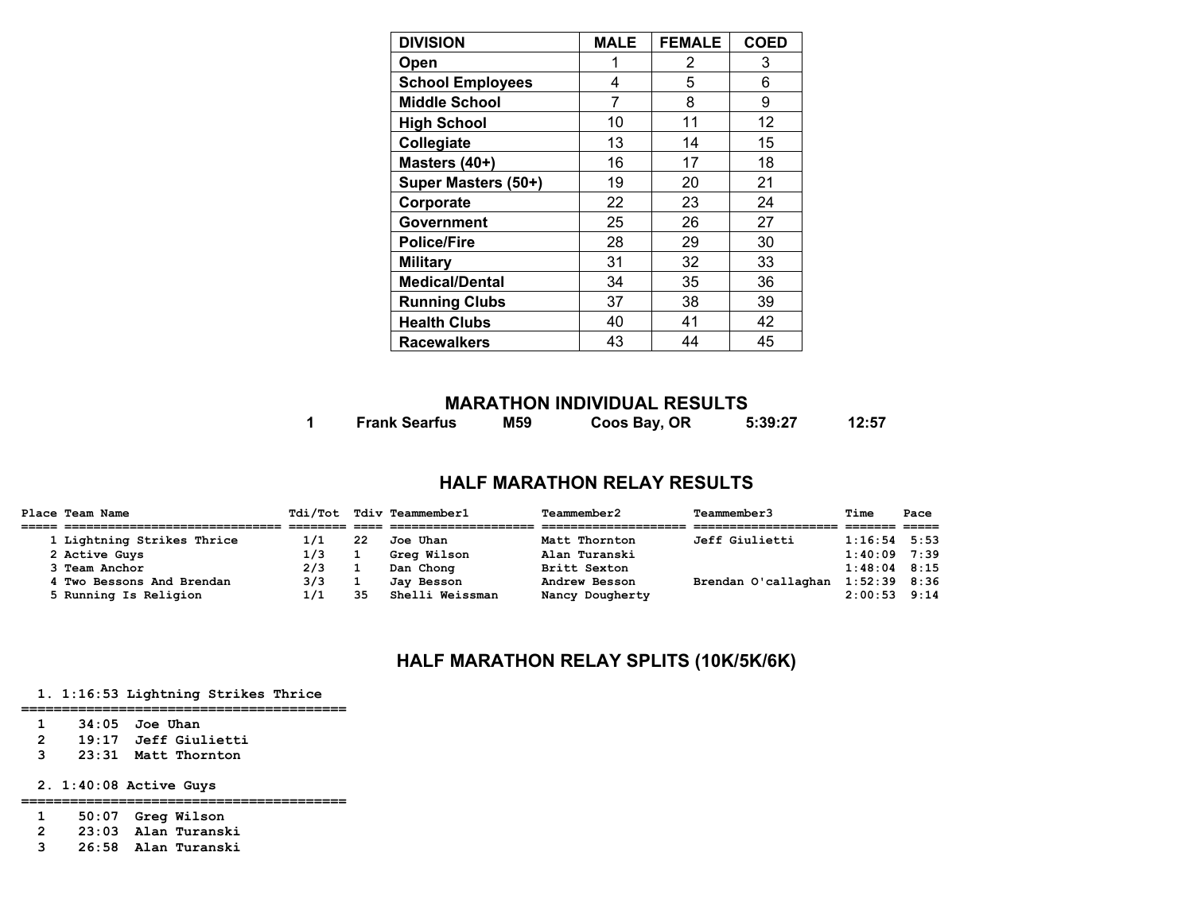| <b>DIVISION</b>         | <b>MALE</b> | <b>FEMALE</b> | <b>COED</b> |
|-------------------------|-------------|---------------|-------------|
| Open                    |             | 2             | 3           |
| <b>School Employees</b> | 4           | 5             | 6           |
| <b>Middle School</b>    | 7           | 8             | 9           |
| <b>High School</b>      | 10          | 11            | 12          |
| Collegiate              | 13          | 14            | 15          |
| Masters (40+)           | 16          | 17            | 18          |
| Super Masters (50+)     | 19          | 20            | 21          |
| Corporate               | 22          | 23            | 24          |
| <b>Government</b>       | 25          | 26            | 27          |
| <b>Police/Fire</b>      | 28          | 29            | 30          |
| <b>Military</b>         | 31          | 32            | 33          |
| <b>Medical/Dental</b>   | 34          | 35            | 36          |
| <b>Running Clubs</b>    | 37          | 38            | 39          |
| <b>Health Clubs</b>     | 40          | 41            | 42          |
| <b>Racewalkers</b>      | 43          | 44            | 45          |

# **MARATHON INDIVIDUAL RESULTS**

**1 Frank Searfus M59 Coos Bay, OR 5:39:27 12:57** 

# **HALF MARATHON RELAY RESULTS**

| Place Team Name            |     |    | Tdi/Tot Tdiv Teammember1 | <b>Teammember2</b> | Teammember3           | Time             | Pace |
|----------------------------|-----|----|--------------------------|--------------------|-----------------------|------------------|------|
|                            |     |    |                          |                    |                       |                  |      |
| 1 Lightning Strikes Thrice | 1/1 | 22 | Joe Uhan                 | Matt Thornton      | <b>Jeff Giulietti</b> | $1:16:54$ 5:53   |      |
| 2 Active Guys              | 1/3 |    | Grea Wilson              | Alan Turanski      |                       | $1:40:09$ 7:39   |      |
| 3 Team Anchor              | 2/3 |    | Dan Chong                | Britt Sexton       |                       | $1:48:04$ $8:15$ |      |
| 4 Two Bessons And Brendan  | 3/3 |    | Jav Besson               | Andrew Besson      | Brendan O'callaghan   | $1:52:39$ 8:36   |      |
| 5 Running Is Religion      | 1/1 | 35 | Shelli Weissman          | Nancy Dougherty    |                       | $2:00:53$ 9:14   |      |

# **HALF MARATHON RELAY SPLITS (10K/5K/6K)**

# **1. 1:16:53 Lightning Strikes Thrice**

#### **========================================**

- **1 34:05 Joe Uhan**
- **2 19:17 Jeff Giulietti 3 23:31 Matt Thornton**
- 

 **2. 1:40:08 Active Guys** 

- **========================================**
- **1 50:07 Greg Wilson**
- **2 23:03 Alan Turanski**
- **3 26:58 Alan Turanski**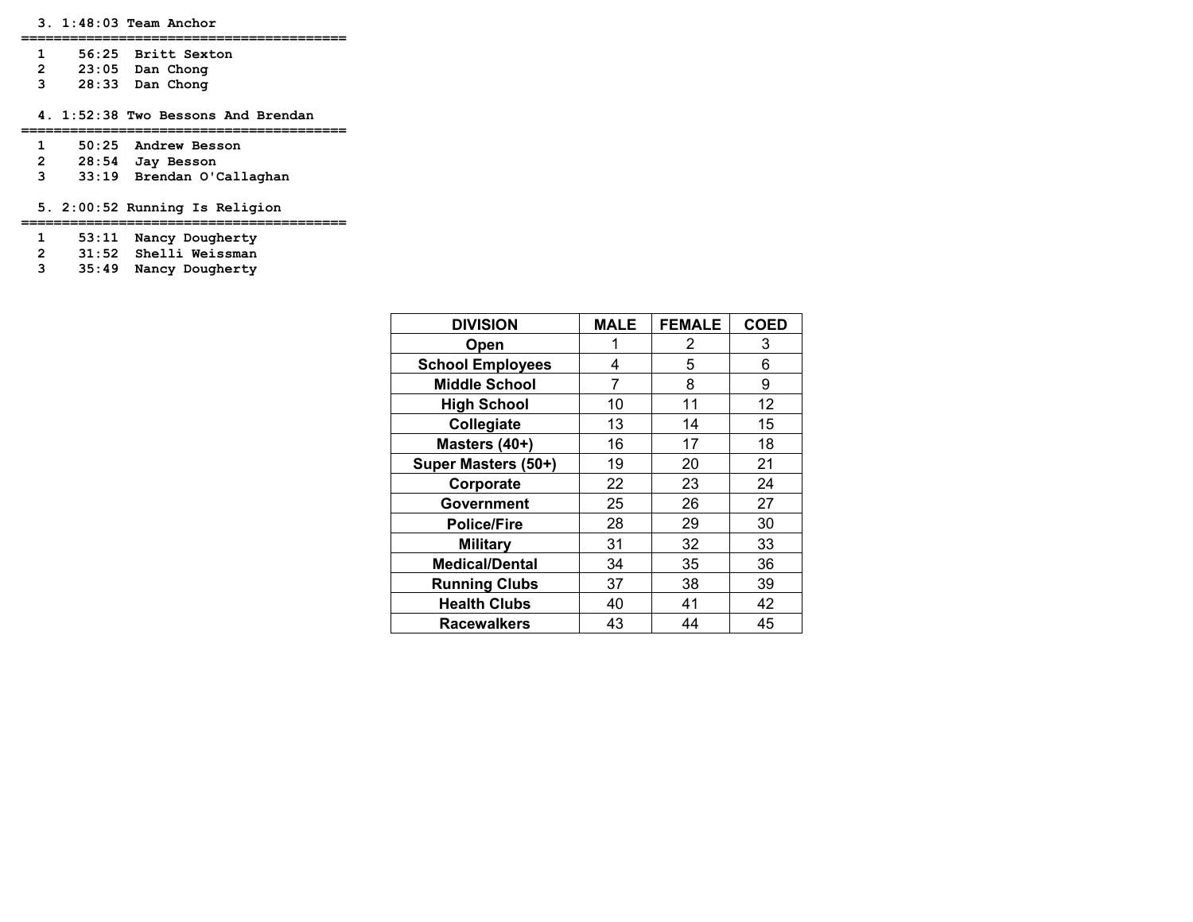**========================================** 

- **1 56:25 Britt Sexton**
- **2 23:05 Dan Chong**
- **3 28:33 Dan Chong**

 **4. 1:52:38 Two Bessons And Brendan** 

- **========================================**
- **1 50:25 Andrew Besson**
- **2 28:54 Jay Besson**
- **3 33:19 Brendan O'Callaghan**

 **5. 2:00:52 Running Is Religion** 

**========================================** 

 **1 53:11 Nancy Dougherty** 

 **2 31:52 Shelli Weissman** 

 **3 35:49 Nancy Dougherty** 

| <b>DIVISION</b>         | <b>MALE</b> | <b>FEMALE</b> | <b>COED</b> |
|-------------------------|-------------|---------------|-------------|
| Open                    |             | 2             | 3           |
| <b>School Employees</b> | 4           | 5             | 6           |
| <b>Middle School</b>    | 7           | 8             | 9           |
| <b>High School</b>      | 10          | 11            | 12          |
| Collegiate              | 13          | 14            | 15          |
| Masters (40+)           | 16          | 17            | 18          |
| Super Masters (50+)     | 19          | 20            | 21          |
| Corporate               | 22          | 23            | 24          |
| Government              | 25          | 26            | 27          |
| <b>Police/Fire</b>      | 28          | 29            | 30          |
| <b>Military</b>         | 31          | 32            | 33          |
| <b>Medical/Dental</b>   | 34          | 35            | 36          |
| <b>Running Clubs</b>    | 37          | 38            | 39          |
| <b>Health Clubs</b>     | 40          | 41            | 42          |
| <b>Racewalkers</b>      | 43          | 44            | 45          |